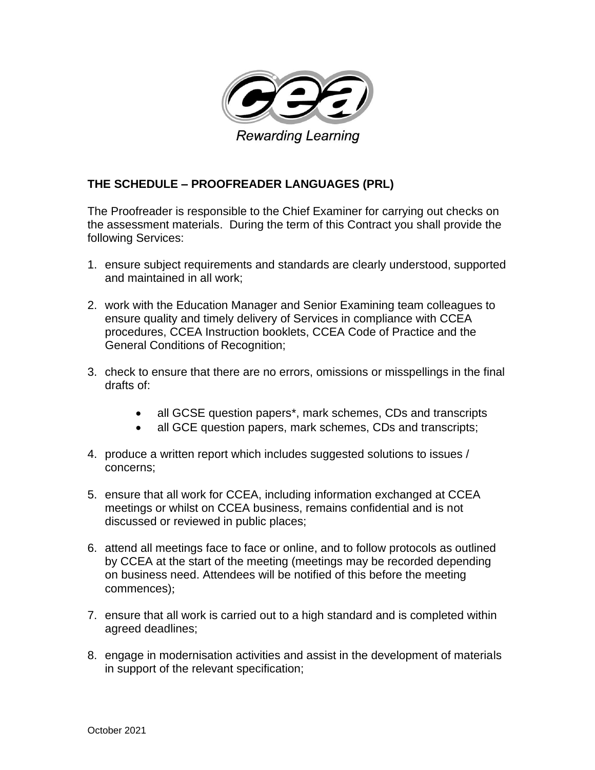

## **THE SCHEDULE – PROOFREADER LANGUAGES (PRL)**

The Proofreader is responsible to the Chief Examiner for carrying out checks on the assessment materials. During the term of this Contract you shall provide the following Services:

- 1. ensure subject requirements and standards are clearly understood, supported and maintained in all work;
- 2. work with the Education Manager and Senior Examining team colleagues to ensure quality and timely delivery of Services in compliance with CCEA procedures, CCEA Instruction booklets, CCEA Code of Practice and the General Conditions of Recognition;
- 3. check to ensure that there are no errors, omissions or misspellings in the final drafts of:
	- all GCSE question papers<sup>\*</sup>, mark schemes, CDs and transcripts
	- all GCE question papers, mark schemes, CDs and transcripts;
- 4. produce a written report which includes suggested solutions to issues / concerns;
- 5. ensure that all work for CCEA, including information exchanged at CCEA meetings or whilst on CCEA business, remains confidential and is not discussed or reviewed in public places;
- 6. attend all meetings face to face or online, and to follow protocols as outlined by CCEA at the start of the meeting (meetings may be recorded depending on business need. Attendees will be notified of this before the meeting commences);
- 7. ensure that all work is carried out to a high standard and is completed within agreed deadlines;
- 8. engage in modernisation activities and assist in the development of materials in support of the relevant specification;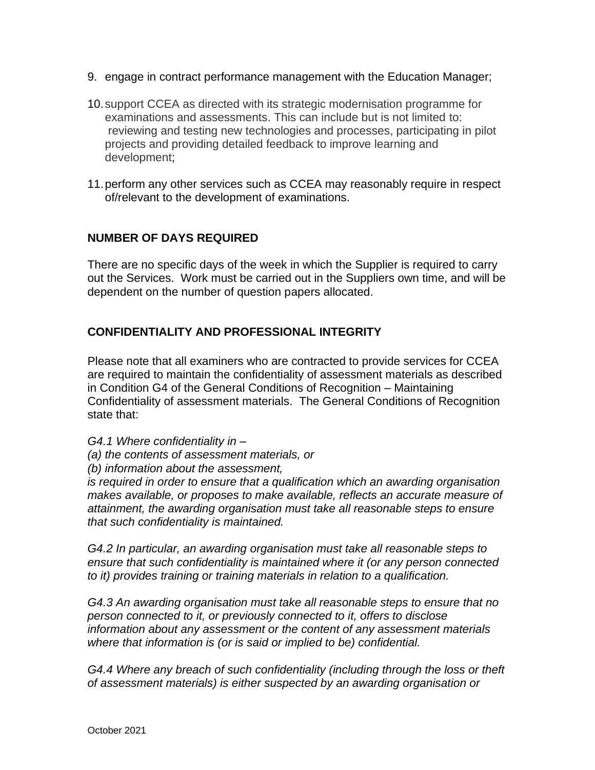- 9. engage in contract performance management with the Education Manager;
- 10.support CCEA as directed with its strategic modernisation programme for examinations and assessments. This can include but is not limited to: reviewing and testing new technologies and processes, participating in pilot projects and providing detailed feedback to improve learning and development;
- 11.perform any other services such as CCEA may reasonably require in respect of/relevant to the development of examinations.

## **NUMBER OF DAYS REQUIRED**

There are no specific days of the week in which the Supplier is required to carry out the Services. Work must be carried out in the Suppliers own time, and will be dependent on the number of question papers allocated.

## **CONFIDENTIALITY AND PROFESSIONAL INTEGRITY**

Please note that all examiners who are contracted to provide services for CCEA are required to maintain the confidentiality of assessment materials as described in Condition G4 of the General Conditions of Recognition – Maintaining Confidentiality of assessment materials. The General Conditions of Recognition state that:

*G4.1 Where confidentiality in –*

- *(a) the contents of assessment materials, or*
- *(b) information about the assessment,*

*is required in order to ensure that a qualification which an awarding organisation makes available, or proposes to make available, reflects an accurate measure of attainment, the awarding organisation must take all reasonable steps to ensure that such confidentiality is maintained.* 

*G4.2 In particular, an awarding organisation must take all reasonable steps to ensure that such confidentiality is maintained where it (or any person connected to it) provides training or training materials in relation to a qualification.* 

*G4.3 An awarding organisation must take all reasonable steps to ensure that no person connected to it, or previously connected to it, offers to disclose information about any assessment or the content of any assessment materials where that information is (or is said or implied to be) confidential.* 

*G4.4 Where any breach of such confidentiality (including through the loss or theft of assessment materials) is either suspected by an awarding organisation or*